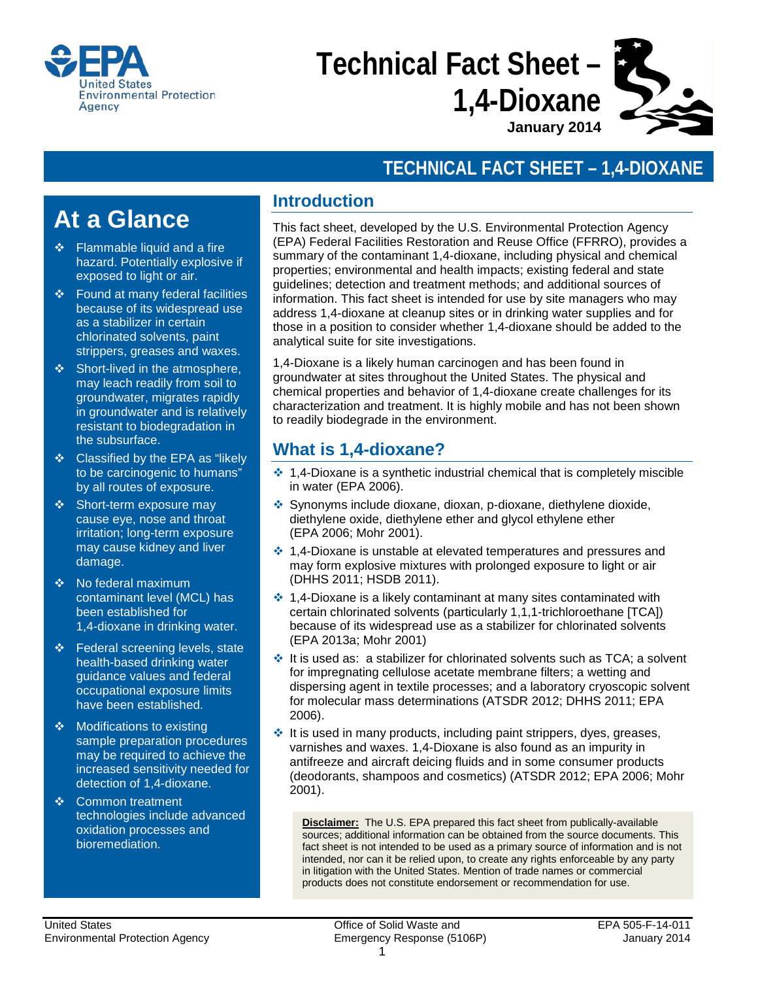

# **Technical Fact Sheet – 1,4-Dioxane January 2014**

# **TECHNICAL FACT SHEET – 1,4-DIOXANE**

# **At a Glance**

- $\div$  Flammable liquid and a fire hazard. Potentially explosive if exposed to light or air.
- $\div$  Found at many federal facilities because of its widespread use as a stabilizer in certain chlorinated solvents, paint strippers, greases and waxes.
- ❖ Short-lived in the atmosphere, may leach readily from soil to groundwater, migrates rapidly in groundwater and is relatively resistant to biodegradation in the subsurface.
- ❖ Classified by the EPA as "likely to be carcinogenic to humans" by all routes of exposure.
- ❖ Short-term exposure may cause eye, nose and throat irritation; long-term exposure may cause kidney and liver damage.
- ◆ No federal maximum contaminant level (MCL) has been established for 1,4-dioxane in drinking water.
- Federal screening levels, state health-based drinking water guidance values and federal occupational exposure limits have been established.
- $\triangleleft$  Modifications to existing sample preparation procedures may be required to achieve the increased sensitivity needed for detection of 1,4-dioxane.
- ❖ Common treatment technologies include advanced oxidation processes and bioremediation.

#### **Introduction**

This fact sheet, developed by the U.S. Environmental Protection Agency (EPA) Federal Facilities Restoration and Reuse Office (FFRRO), provides a summary of the contaminant 1,4-dioxane, including physical and chemical properties; environmental and health impacts; existing federal and state guidelines; detection and treatment methods; and additional sources of information. This fact sheet is intended for use by site managers who may address 1,4-dioxane at cleanup sites or in drinking water supplies and for those in a position to consider whether 1,4-dioxane should be added to the analytical suite for site investigations.

1,4-Dioxane is a likely human carcinogen and has been found in groundwater at sites throughout the United States. The physical and chemical properties and behavior of 1,4-dioxane create challenges for its characterization and treatment. It is highly mobile and has not been shown to readily biodegrade in the environment.

#### **What is 1,4-dioxane?**

- $\cdot$  1,4-Dioxane is a synthetic industrial chemical that is completely miscible in water (EPA 2006).
- Synonyms include dioxane, dioxan, p-dioxane, diethylene dioxide, diethylene oxide, diethylene ether and glycol ethylene ether (EPA 2006; Mohr 2001).
- 1,4-Dioxane is unstable at elevated temperatures and pressures and may form explosive mixtures with prolonged exposure to light or air (DHHS 2011; HSDB 2011).
- $\cdot$  1,4-Dioxane is a likely contaminant at many sites contaminated with certain chlorinated solvents (particularly 1,1,1-trichloroethane [TCA]) because of its widespread use as a stabilizer for chlorinated solvents (EPA 2013a; Mohr 2001)
- It is used as: a stabilizer for chlorinated solvents such as TCA; a solvent for impregnating cellulose acetate membrane filters; a wetting and dispersing agent in textile processes; and a laboratory cryoscopic solvent for molecular mass determinations (ATSDR 2012; DHHS 2011; EPA 2006).
- $*$  It is used in many products, including paint strippers, dyes, greases, varnishes and waxes. 1,4-Dioxane is also found as an impurity in antifreeze and aircraft deicing fluids and in some consumer products (deodorants, shampoos and cosmetics) (ATSDR 2012; EPA 2006; Mohr 2001).

**Disclaimer:** The U.S. EPA prepared this fact sheet from publically-available sources; additional information can be obtained from the source documents. This fact sheet is not intended to be used as a primary source of information and is not intended, nor can it be relied upon, to create any rights enforceable by any party in litigation with the United States. Mention of trade names or commercial products does not constitute endorsement or recommendation for use.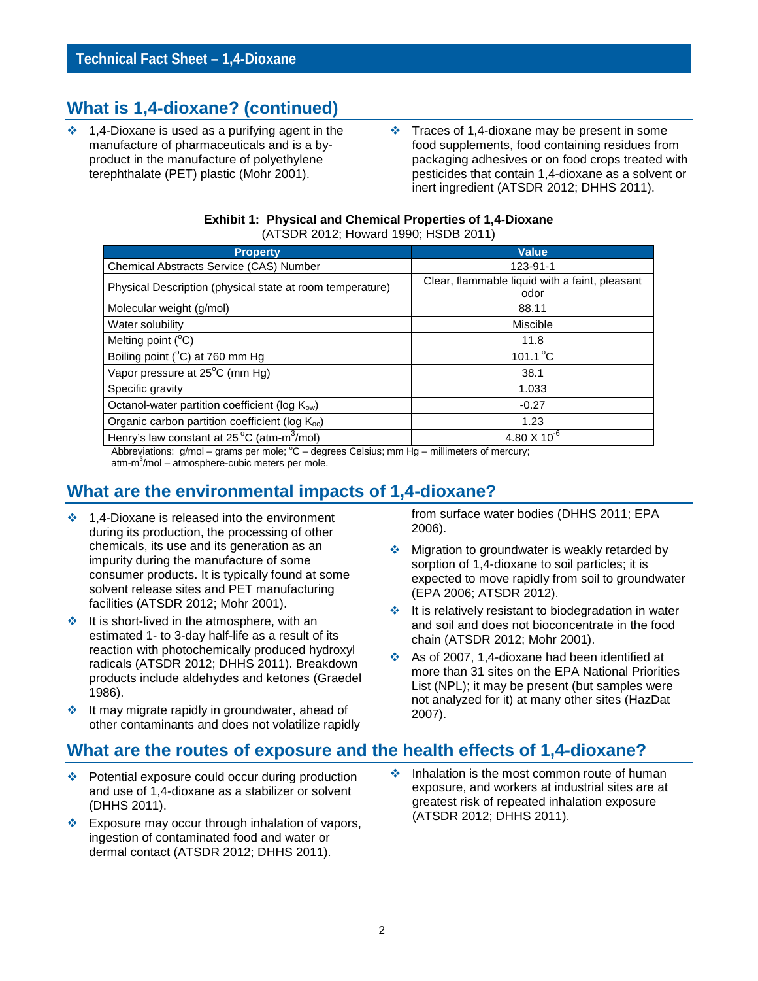# **What is 1,4-dioxane? (continued)**

- 1,4-Dioxane is used as a purifying agent in the manufacture of pharmaceuticals and is a byproduct in the manufacture of polyethylene terephthalate (PET) plastic (Mohr 2001).
- $\cdot$  Traces of 1,4-dioxane may be present in some food supplements, food containing residues from packaging adhesives or on food crops treated with pesticides that contain 1,4-dioxane as a solvent or inert ingredient (ATSDR 2012; DHHS 2011).

|                                      |  | <b>Exhibit 1: Physical and Chemical Properties of 1,4-Dioxane</b> |
|--------------------------------------|--|-------------------------------------------------------------------|
| (ATSDR 2012; Howard 1990; HSDB 2011) |  |                                                                   |

| <b>Property</b>                                                  | <b>Value</b>                                           |  |
|------------------------------------------------------------------|--------------------------------------------------------|--|
| Chemical Abstracts Service (CAS) Number                          | 123-91-1                                               |  |
| Physical Description (physical state at room temperature)        | Clear, flammable liquid with a faint, pleasant<br>odor |  |
| Molecular weight (g/mol)                                         | 88.11                                                  |  |
| Water solubility                                                 | <b>Miscible</b>                                        |  |
| Melting point $(^{\circ}C)$                                      | 11.8                                                   |  |
| Boiling point (°C) at 760 mm Hg                                  | 101.1 $\degree$ C                                      |  |
| Vapor pressure at 25°C (mm Hg)                                   | 38.1                                                   |  |
| Specific gravity                                                 | 1.033                                                  |  |
| Octanol-water partition coefficient (log Kow)                    | $-0.27$                                                |  |
| Organic carbon partition coefficient (log K <sub>oc</sub> )      | 1.23                                                   |  |
| Henry's law constant at $25^{\circ}$ C (atm-m <sup>3</sup> /mol) | $4.80 \times 10^{-6}$                                  |  |

Abbreviations:  $g/mol - grams$  per mole;  $°C - degrees$  Celsius; mm Hg – millimeters of mercury;

atm-m<sup>3</sup>/mol - atmosphere-cubic meters per mole.

#### **What are the environmental impacts of 1,4-dioxane?**

- $\div$  1,4-Dioxane is released into the environment during its production, the processing of other chemicals, its use and its generation as an impurity during the manufacture of some consumer products. It is typically found at some solvent release sites and PET manufacturing facilities (ATSDR 2012; Mohr 2001).
- $\cdot$  It is short-lived in the atmosphere, with an estimated 1- to 3-day half-life as a result of its reaction with photochemically produced hydroxyl radicals (ATSDR 2012; DHHS 2011). Breakdown products include aldehydes and ketones (Graedel 1986).
- $\cdot$  It may migrate rapidly in groundwater, ahead of other contaminants and does not volatilize rapidly

from surface water bodies (DHHS 2011; EPA 2006).

- Migration to groundwater is weakly retarded by sorption of 1,4-dioxane to soil particles; it is expected to move rapidly from soil to groundwater (EPA 2006; ATSDR 2012).
- $\cdot$  It is relatively resistant to biodegradation in water and soil and does not bioconcentrate in the food chain (ATSDR 2012; Mohr 2001).
- As of 2007, 1,4-dioxane had been identified at more than 31 sites on the EPA National Priorities List (NPL); it may be present (but samples were not analyzed for it) at many other sites (HazDat 2007).

#### **What are the routes of exposure and the health effects of 1,4-dioxane?**

- Potential exposure could occur during production and use of 1,4-dioxane as a stabilizer or solvent (DHHS 2011).
- $\triangleq$  Exposure may occur through inhalation of vapors, ingestion of contaminated food and water or dermal contact (ATSDR 2012; DHHS 2011).
- $\cdot$  Inhalation is the most common route of human exposure, and workers at industrial sites are at greatest risk of repeated inhalation exposure (ATSDR 2012; DHHS 2011).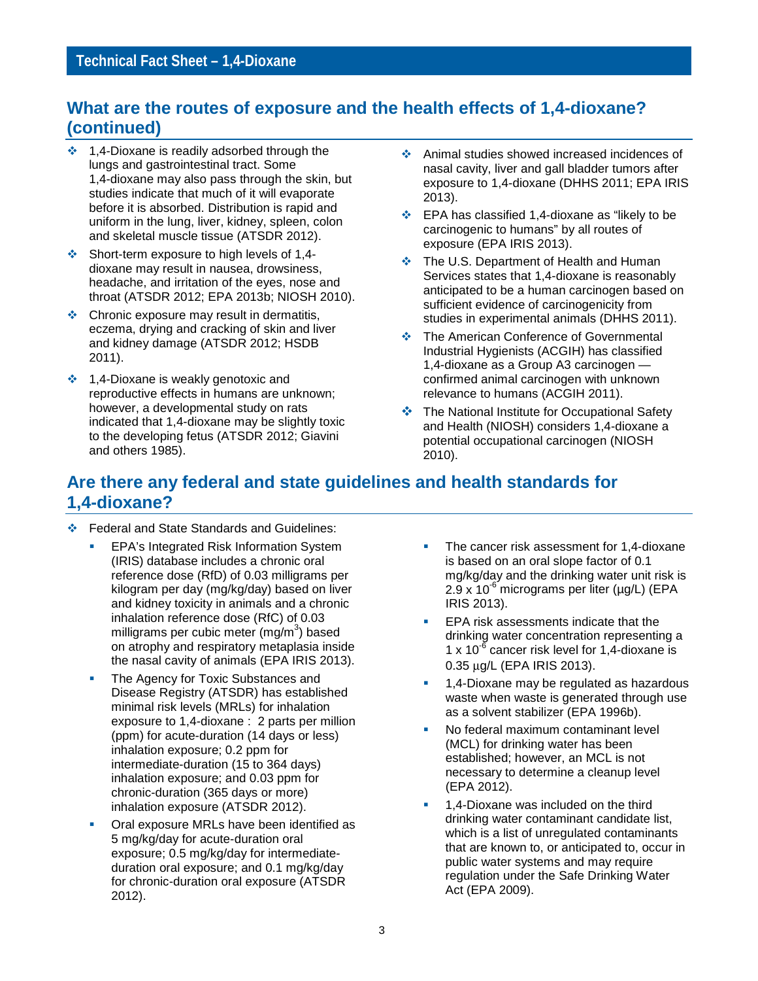#### **What are the routes of exposure and the health effects of 1,4-dioxane? (continued)**

- $\div$  1,4-Dioxane is readily adsorbed through the lungs and gastrointestinal tract. Some 1,4-dioxane may also pass through the skin, but studies indicate that much of it will evaporate before it is absorbed. Distribution is rapid and uniform in the lung, liver, kidney, spleen, colon and skeletal muscle tissue (ATSDR 2012).
- Short-term exposure to high levels of 1,4dioxane may result in nausea, drowsiness, headache, and irritation of the eyes, nose and throat (ATSDR 2012; EPA 2013b; NIOSH 2010).
- ◆ Chronic exposure may result in dermatitis, eczema, drying and cracking of skin and liver and kidney damage (ATSDR 2012; HSDB 2011).
- $\div$  1,4-Dioxane is weakly genotoxic and reproductive effects in humans are unknown; however, a developmental study on rats indicated that 1,4-dioxane may be slightly toxic to the developing fetus (ATSDR 2012; Giavini and others 1985).
- Animal studies showed increased incidences of nasal cavity, liver and gall bladder tumors after exposure to 1,4-dioxane (DHHS 2011; EPA IRIS 2013).
- EPA has classified 1,4-dioxane as "likely to be carcinogenic to humans" by all routes of exposure (EPA IRIS 2013).
- The U.S. Department of Health and Human Services states that 1,4-dioxane is reasonably anticipated to be a human carcinogen based on sufficient evidence of carcinogenicity from studies in experimental animals (DHHS 2011).
- **↑ The American Conference of Governmental** Industrial Hygienists (ACGIH) has classified 1,4-dioxane as a Group A3 carcinogen confirmed animal carcinogen with unknown relevance to humans (ACGIH 2011).
- ❖ The National Institute for Occupational Safety and Health (NIOSH) considers 1,4-dioxane a potential occupational carcinogen (NIOSH 2010).

### **Are there any federal and state guidelines and health standards for 1,4-dioxane?**

- Federal and State Standards and Guidelines:
	- EPA's Integrated Risk Information System (IRIS) database includes a chronic oral reference dose (RfD) of 0.03 milligrams per kilogram per day (mg/kg/day) based on liver and kidney toxicity in animals and a chronic inhalation reference dose (RfC) of 0.03 milligrams per cubic meter (mg/m $3$ ) based on atrophy and respiratory metaplasia inside the nasal cavity of animals (EPA IRIS 2013).
	- The Agency for Toxic Substances and Disease Registry (ATSDR) has established minimal risk levels (MRLs) for inhalation exposure to 1,4-dioxane : 2 parts per million (ppm) for acute-duration (14 days or less) inhalation exposure; 0.2 ppm for intermediate-duration (15 to 364 days) inhalation exposure; and 0.03 ppm for chronic-duration (365 days or more) inhalation exposure (ATSDR 2012).
	- Oral exposure MRLs have been identified as 5 mg/kg/day for acute-duration oral exposure; 0.5 mg/kg/day for intermediateduration oral exposure; and 0.1 mg/kg/day for chronic-duration oral exposure (ATSDR 2012).
- The cancer risk assessment for 1,4-dioxane is based on an oral slope factor of 0.1 mg/kg/day and the drinking water unit risk is  $2.9 \times 10^{-6}$  micrograms per liter ( $\mu$ g/L) (EPA IRIS 2013).
- EPA risk assessments indicate that the drinking water concentration representing a 1 x 10 $^6$  cancer risk level for 1,4-dioxane is 0.35 µg/L (EPA IRIS 2013).
- 1,4-Dioxane may be regulated as hazardous waste when waste is generated through use as a solvent stabilizer (EPA 1996b).
- No federal maximum contaminant level (MCL) for drinking water has been established; however, an MCL is not necessary to determine a cleanup level (EPA 2012).
- 1,4-Dioxane was included on the third drinking water contaminant candidate list, which is a list of unregulated contaminants that are known to, or anticipated to, occur in public water systems and may require regulation under the Safe Drinking Water Act (EPA 2009).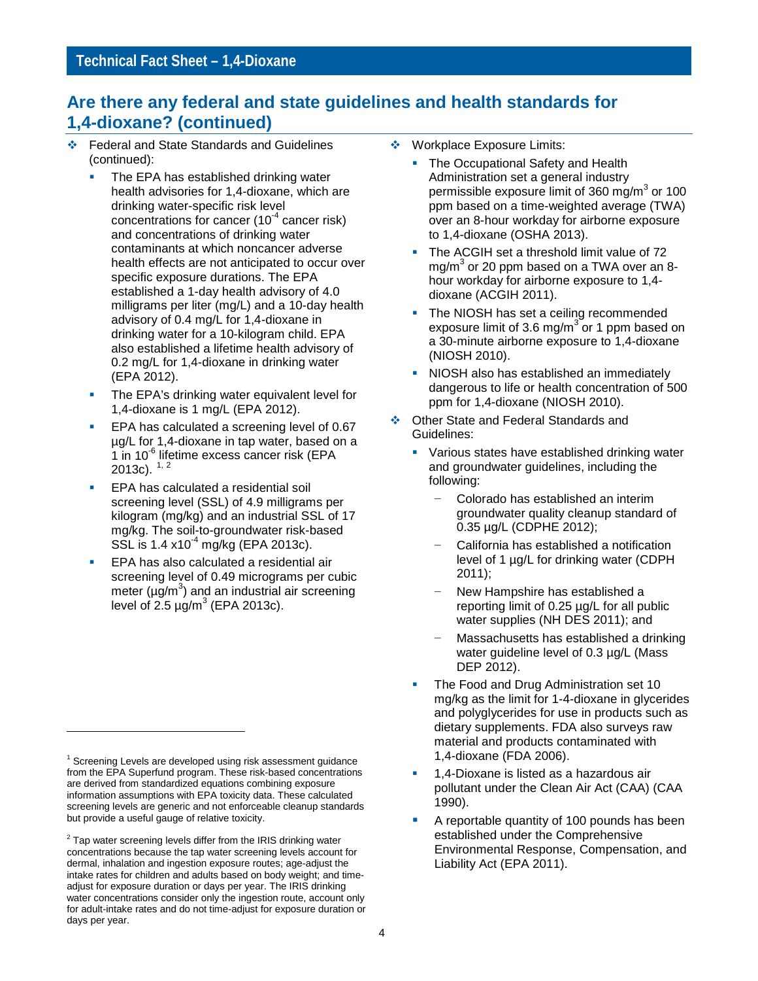#### **Are there any federal and state guidelines and health standards for 1,4-dioxane? (continued)**

- ❖ Federal and State Standards and Guidelines (continued):
	- The EPA has established drinking water health advisories for 1,4-dioxane, which are drinking water-specific risk level concentrations for cancer  $(10^{-4}$  cancer risk) and concentrations of drinking water contaminants at which noncancer adverse health effects are not anticipated to occur over specific exposure durations. The EPA established a 1-day health advisory of 4.0 milligrams per liter (mg/L) and a 10-day health advisory of 0.4 mg/L for 1,4-dioxane in drinking water for a 10-kilogram child. EPA also established a lifetime health advisory of 0.2 mg/L for 1,4-dioxane in drinking water (EPA 2012).
	- The EPA's drinking water equivalent level for 1,4-dioxane is 1 mg/L (EPA 2012).
	- EPA has calculated a screening level of 0.67 µg/L for 1,4-dioxane in tap water, based on a 1 in 10<sup>-6</sup> lifetime excess cancer risk (EPA 20[1](#page-3-0)3c).  $1, 2$  $1, 2$
	- EPA has calculated a residential soil screening level (SSL) of 4.9 milligrams per kilogram (mg/kg) and an industrial SSL of 17 mg/kg. The soil-to-groundwater risk-based SSL is  $1.4 \times 10^{-4}$  mg/kg (EPA 2013c).
	- EPA has also calculated a residential air screening level of 0.49 micrograms per cubic meter ( $\mu$ g/m<sup>3</sup>) and an industrial air screening level of 2.5  $\mu$ g/m<sup>3</sup> (EPA 2013c).

 $\overline{a}$ 

- ◆ Workplace Exposure Limits:
	- The Occupational Safety and Health Administration set a general industry permissible exposure limit of 360 mg/m<sup>3</sup> or 100 ppm based on a time-weighted average (TWA) over an 8-hour workday for airborne exposure to 1,4-dioxane (OSHA 2013).
	- The ACGIH set a threshold limit value of 72 mg/m<sup>3</sup> or 20 ppm based on a TWA over an 8hour workday for airborne exposure to 1,4 dioxane (ACGIH 2011).
	- The NIOSH has set a ceiling recommended exposure limit of 3.6 mg/ $m^3$  or 1 ppm based on a 30-minute airborne exposure to 1,4-dioxane (NIOSH 2010).
	- NIOSH also has established an immediately dangerous to life or health concentration of 500 ppm for 1,4-dioxane (NIOSH 2010).
- ◆ Other State and Federal Standards and Guidelines:
	- Various states have established drinking water and groundwater guidelines, including the following:
		- − Colorado has established an interim groundwater quality cleanup standard of 0.35 µg/L (CDPHE 2012);
		- − California has established a notification level of 1 µg/L for drinking water (CDPH 2011);
		- − New Hampshire has established a reporting limit of 0.25 µg/L for all public water supplies (NH DES 2011); and
		- − Massachusetts has established a drinking water guideline level of 0.3 µg/L (Mass DEP 2012).
	- The Food and Drug Administration set 10 mg/kg as the limit for 1-4-dioxane in glycerides and polyglycerides for use in products such as dietary supplements. FDA also surveys raw material and products contaminated with 1,4-dioxane (FDA 2006).
	- 1,4-Dioxane is listed as a hazardous air pollutant under the Clean Air Act (CAA) (CAA 1990).
	- A reportable quantity of 100 pounds has been established under the Comprehensive Environmental Response, Compensation, and Liability Act (EPA 2011).

<span id="page-3-0"></span><sup>&</sup>lt;sup>1</sup> Screening Levels are developed using risk assessment guidance from the EPA Superfund program. These risk-based concentrations are derived from standardized equations combining exposure information assumptions with EPA toxicity data. These calculated screening levels are generic and not enforceable cleanup standards but provide a useful gauge of relative toxicity.

<span id="page-3-1"></span> $2$  Tap water screening levels differ from the IRIS drinking water concentrations because the tap water screening levels account for dermal, inhalation and ingestion exposure routes; age-adjust the intake rates for children and adults based on body weight; and timeadjust for exposure duration or days per year. The IRIS drinking water concentrations consider only the ingestion route, account only for adult-intake rates and do not time-adjust for exposure duration or days per year.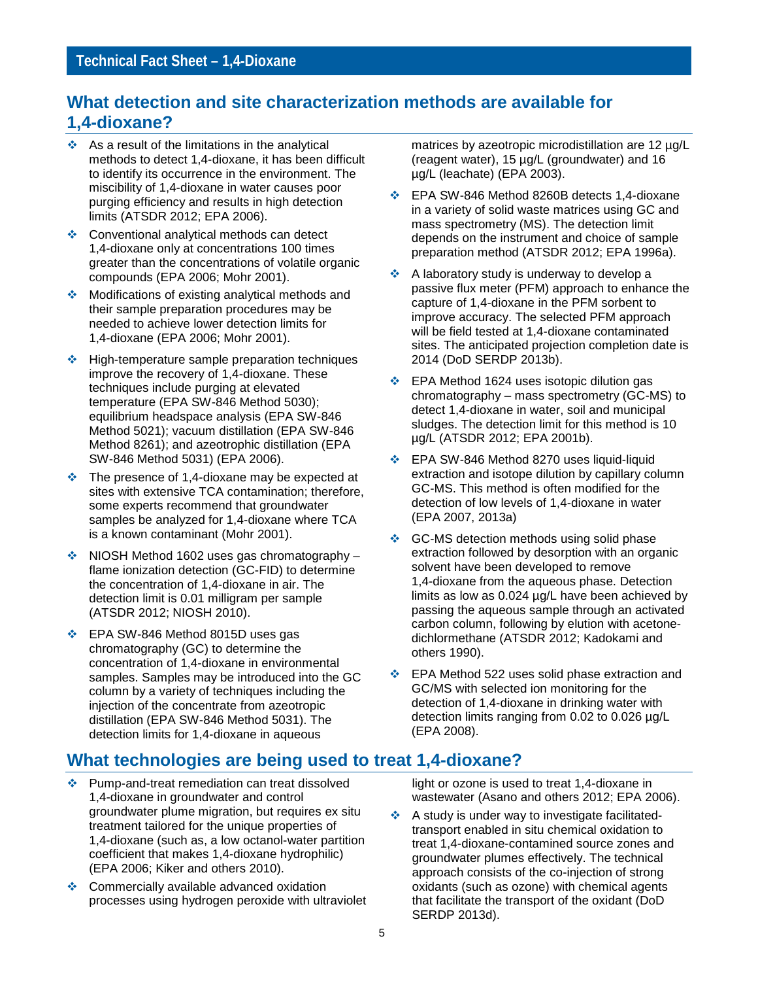#### **What detection and site characterization methods are available for 1,4-dioxane?**

- As a result of the limitations in the analytical methods to detect 1,4-dioxane, it has been difficult to identify its occurrence in the environment. The miscibility of 1,4-dioxane in water causes poor purging efficiency and results in high detection limits (ATSDR 2012; EPA 2006).
- ❖ Conventional analytical methods can detect 1,4-dioxane only at concentrations 100 times greater than the concentrations of volatile organic compounds (EPA 2006; Mohr 2001).
- ◆ Modifications of existing analytical methods and their sample preparation procedures may be needed to achieve lower detection limits for 1,4-dioxane (EPA 2006; Mohr 2001).
- High-temperature sample preparation techniques improve the recovery of 1,4-dioxane. These techniques include purging at elevated temperature (EPA SW-846 Method 5030); equilibrium headspace analysis (EPA SW-846 Method 5021); vacuum distillation (EPA SW-846 Method 8261); and azeotrophic distillation (EPA SW-846 Method 5031) (EPA 2006).
- $\cdot$  The presence of 1,4-dioxane may be expected at sites with extensive TCA contamination; therefore, some experts recommend that groundwater samples be analyzed for 1,4-dioxane where TCA is a known contaminant (Mohr 2001).
- NIOSH Method 1602 uses gas chromatography flame ionization detection (GC-FID) to determine the concentration of 1,4-dioxane in air. The detection limit is 0.01 milligram per sample (ATSDR 2012; NIOSH 2010).
- EPA SW-846 Method 8015D uses gas chromatography (GC) to determine the concentration of 1,4-dioxane in environmental samples. Samples may be introduced into the GC column by a variety of techniques including the injection of the concentrate from azeotropic distillation (EPA SW-846 Method 5031). The detection limits for 1,4-dioxane in aqueous

# **What technologies are being used to treat 1,4-dioxane?**

- Pump-and-treat remediation can treat dissolved 1,4-dioxane in groundwater and control groundwater plume migration, but requires ex situ treatment tailored for the unique properties of 1,4-dioxane (such as, a low octanol-water partition coefficient that makes 1,4-dioxane hydrophilic) (EPA 2006; Kiker and others 2010).
- **♦ Commercially available advanced oxidation** processes using hydrogen peroxide with ultraviolet

matrices by azeotropic microdistillation are 12 µg/L (reagent water), 15 µg/L (groundwater) and 16 µg/L (leachate) (EPA 2003).

- EPA SW-846 Method 8260B detects 1,4-dioxane in a variety of solid waste matrices using GC and mass spectrometry (MS). The detection limit depends on the instrument and choice of sample preparation method (ATSDR 2012; EPA 1996a).
- $\div$  A laboratory study is underway to develop a passive flux meter (PFM) approach to enhance the capture of 1,4-dioxane in the PFM sorbent to improve accuracy. The selected PFM approach will be field tested at 1,4-dioxane contaminated sites. The anticipated projection completion date is 2014 (DoD SERDP 2013b).
- EPA Method 1624 uses isotopic dilution gas chromatography – mass spectrometry (GC-MS) to detect 1,4-dioxane in water, soil and municipal sludges. The detection limit for this method is 10 µg/L (ATSDR 2012; EPA 2001b).
- EPA SW-846 Method 8270 uses liquid-liquid extraction and isotope dilution by capillary column GC-MS. This method is often modified for the detection of low levels of 1,4-dioxane in water (EPA 2007, 2013a)
- ❖ GC-MS detection methods using solid phase extraction followed by desorption with an organic solvent have been developed to remove 1,4-dioxane from the aqueous phase. Detection limits as low as 0.024 µg/L have been achieved by passing the aqueous sample through an activated carbon column, following by elution with acetonedichlormethane (ATSDR 2012; Kadokami and others 1990).
- EPA Method 522 uses solid phase extraction and GC/MS with selected ion monitoring for the detection of 1,4-dioxane in drinking water with detection limits ranging from 0.02 to 0.026 µg/L (EPA 2008).

light or ozone is used to treat 1,4-dioxane in wastewater (Asano and others 2012; EPA 2006).

A study is under way to investigate facilitatedtransport enabled in situ chemical oxidation to treat 1,4-dioxane-contamined source zones and groundwater plumes effectively. The technical approach consists of the co-injection of strong oxidants (such as ozone) with chemical agents that facilitate the transport of the oxidant (DoD SERDP 2013d).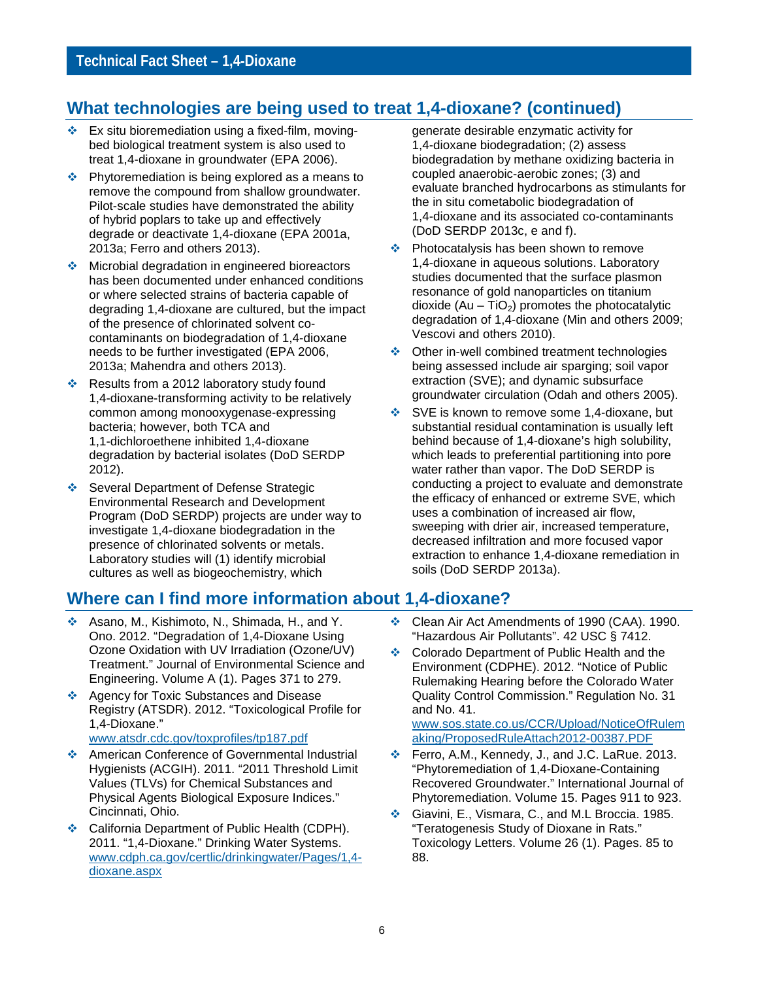## **What technologies are being used to treat 1,4-dioxane? (continued)**

- ❖ Ex situ bioremediation using a fixed-film, movingbed biological treatment system is also used to treat 1,4-dioxane in groundwater (EPA 2006).
- $\cdot \cdot$  Phytoremediation is being explored as a means to remove the compound from shallow groundwater. Pilot-scale studies have demonstrated the ability of hybrid poplars to take up and effectively degrade or deactivate 1,4-dioxane (EPA 2001a, 2013a; Ferro and others 2013).
- Microbial degradation in engineered bioreactors has been documented under enhanced conditions or where selected strains of bacteria capable of degrading 1,4-dioxane are cultured, but the impact of the presence of chlorinated solvent cocontaminants on biodegradation of 1,4-dioxane needs to be further investigated (EPA 2006, 2013a; Mahendra and others 2013).
- Results from a 2012 laboratory study found 1,4-dioxane-transforming activity to be relatively common among monooxygenase-expressing bacteria; however, both TCA and 1,1-dichloroethene inhibited 1,4-dioxane degradation by bacterial isolates (DoD SERDP 2012).
- ❖ Several Department of Defense Strategic Environmental Research and Development Program (DoD SERDP) projects are under way to investigate 1,4-dioxane biodegradation in the presence of chlorinated solvents or metals. Laboratory studies will (1) identify microbial cultures as well as biogeochemistry, which

#### **Where can I find more information about 1,4-dioxane?**

- Asano, M., Kishimoto, N., Shimada, H., and Y. Ono. 2012. "Degradation of 1,4-Dioxane Using Ozone Oxidation with UV Irradiation (Ozone/UV) Treatment." Journal of Environmental Science and Engineering. Volume A (1). Pages 371 to 279.
- ❖ Agency for Toxic Substances and Disease Registry (ATSDR). 2012. "Toxicological Profile for 1,4-Dioxane." [www.atsdr.cdc.gov/toxprofiles/tp187.pdf](http://www.atsdr.cdc.gov/toxprofiles/tp187.pdf)
- American Conference of Governmental Industrial Hygienists (ACGIH). 2011. "2011 Threshold Limit Values (TLVs) for Chemical Substances and Physical Agents Biological Exposure Indices." Cincinnati, Ohio.
- California Department of Public Health (CDPH). 2011. "1,4-Dioxane." Drinking Water Systems. [www.cdph.ca.gov/certlic/drinkingwater/Pages/1,4](http://www.cdph.ca.gov/certlic/drinkingwater/Pages/1,4-dioxane.aspx) [dioxane.aspx](http://www.cdph.ca.gov/certlic/drinkingwater/Pages/1,4-dioxane.aspx)

generate desirable enzymatic activity for 1,4-dioxane biodegradation; (2) assess biodegradation by methane oxidizing bacteria in coupled anaerobic-aerobic zones; (3) and evaluate branched hydrocarbons as stimulants for the in situ cometabolic biodegradation of 1,4-dioxane and its associated co-contaminants (DoD SERDP 2013c, e and f).

- **Ex** Photocatalysis has been shown to remove 1,4-dioxane in aqueous solutions. Laboratory studies documented that the surface plasmon resonance of gold nanoparticles on titanium dioxide (Au –  $TiO<sub>2</sub>$ ) promotes the photocatalytic degradation of 1,4-dioxane (Min and others 2009; Vescovi and others 2010).
- **♦ Other in-well combined treatment technologies** being assessed include air sparging; soil vapor extraction (SVE); and dynamic subsurface groundwater circulation (Odah and others 2005).
- ❖ SVE is known to remove some 1,4-dioxane, but substantial residual contamination is usually left behind because of 1,4-dioxane's high solubility, which leads to preferential partitioning into pore water rather than vapor. The DoD SERDP is conducting a project to evaluate and demonstrate the efficacy of enhanced or extreme SVE, which uses a combination of increased air flow, sweeping with drier air, increased temperature, decreased infiltration and more focused vapor extraction to enhance 1,4-dioxane remediation in soils (DoD SERDP 2013a).
- Clean Air Act Amendments of 1990 (CAA). 1990. "Hazardous Air Pollutants". 42 USC § 7412.
- **EX** Colorado Department of Public Health and the Environment (CDPHE). 2012. "Notice of Public Rulemaking Hearing before the Colorado Water Quality Control Commission." Regulation No. 31 and No. 41.

[www.sos.state.co.us/CCR/Upload/NoticeOfRulem](http://www.sos.state.co.us/CCR/Upload/NoticeOfRulemaking/ProposedRuleAttach2012-00387.PDF) [aking/ProposedRuleAttach2012-00387.PDF](http://www.sos.state.co.us/CCR/Upload/NoticeOfRulemaking/ProposedRuleAttach2012-00387.PDF)

- Ferro, A.M., Kennedy, J., and J.C. LaRue. 2013. "Phytoremediation of 1,4-Dioxane-Containing Recovered Groundwater." International Journal of Phytoremediation. Volume 15. Pages 911 to 923.
- Giavini, E., Vismara, C., and M.L Broccia, 1985. "Teratogenesis Study of Dioxane in Rats." Toxicology Letters. Volume 26 (1). Pages. 85 to 88.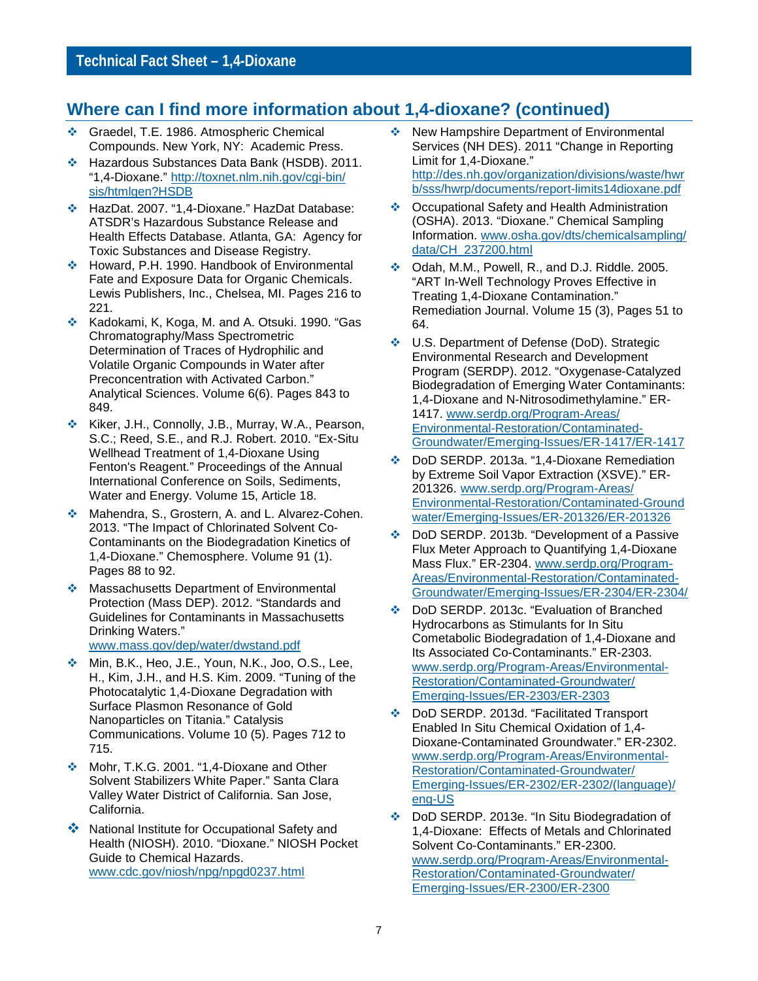#### **Where can I find more information about 1,4-dioxane? (continued)**

- Graedel, T.E. 1986. Atmospheric Chemical Compounds. New York, NY: Academic Press.
- Hazardous Substances Data Bank (HSDB). 2011. "1,4-Dioxane." [http://toxnet.nlm.nih.gov/cgi-bin/](http://toxnet.nlm.nih.gov/cgi-bin/sis/htmlgen?HSDB) [sis/htmlgen?HSDB](http://toxnet.nlm.nih.gov/cgi-bin/sis/htmlgen?HSDB)
- HazDat. 2007. "1,4-Dioxane." HazDat Database: ATSDR's Hazardous Substance Release and Health Effects Database. Atlanta, GA: Agency for Toxic Substances and Disease Registry.
- Howard, P.H. 1990. Handbook of Environmental Fate and Exposure Data for Organic Chemicals. Lewis Publishers, Inc., Chelsea, MI. Pages 216 to 221.
- Kadokami, K, Koga, M. and A. Otsuki. 1990. "Gas Chromatography/Mass Spectrometric Determination of Traces of Hydrophilic and Volatile Organic Compounds in Water after Preconcentration with Activated Carbon." Analytical Sciences. Volume 6(6). Pages 843 to 849.
- Kiker, J.H., Connolly, J.B., Murray, W.A., Pearson, S.C.; Reed, S.E., and R.J. Robert. 2010. "Ex-Situ Wellhead Treatment of 1,4-Dioxane Using Fenton's Reagent." Proceedings of the Annual International Conference on Soils, Sediments, Water and Energy. Volume 15, Article 18.
- Mahendra, S., Grostern, A. and L. Alvarez-Cohen. 2013. "The Impact of Chlorinated Solvent Co-Contaminants on the Biodegradation Kinetics of 1,4-Dioxane." Chemosphere. Volume 91 (1). Pages 88 to 92.
- **♦ Massachusetts Department of Environmental** Protection (Mass DEP). 2012. "Standards and Guidelines for Contaminants in Massachusetts Drinking Waters." [www.mass.gov/dep/water/dwstand.pdf](http://www.mass.gov/dep/water/dwstand.pdf)
- ◆ Min, B.K., Heo, J.E., Youn, N.K., Joo, O.S., Lee, H., Kim, J.H., and H.S. Kim. 2009. "Tuning of the Photocatalytic 1,4-Dioxane Degradation with Surface Plasmon Resonance of Gold Nanoparticles on Titania." Catalysis Communications. Volume 10 (5). Pages 712 to 715.
- Mohr, T.K.G. 2001. "1,4-Dioxane and Other Solvent Stabilizers White Paper." Santa Clara Valley Water District of California. San Jose, California.
- ◆ National Institute for Occupational Safety and Health (NIOSH). 2010. "Dioxane." NIOSH Pocket Guide to Chemical Hazards. [www.cdc.gov/niosh/npg/npgd0237.html](http://www.cdc.gov/niosh/npg/npgd0237.html)
- **EXA:** New Hampshire Department of Environmental Services (NH DES). 2011 "Change in Reporting Limit for 1,4-Dioxane." [http://des.nh.gov/organization/divisions/waste/hwr](http://des.nh.gov/organization/divisions/waste/hwrb/sss/hwrp/documents/report-limits14dioxane.pdf) [b/sss/hwrp/documents/report-limits14dioxane.pdf](http://des.nh.gov/organization/divisions/waste/hwrb/sss/hwrp/documents/report-limits14dioxane.pdf)
- ◆ Occupational Safety and Health Administration (OSHA). 2013. "Dioxane." Chemical Sampling Information. [www.osha.gov/dts/chemicalsampling/](http://www.osha.gov/dts/chemicalsampling/data/CH_237200.html) [data/CH\\_237200.html](http://www.osha.gov/dts/chemicalsampling/data/CH_237200.html)
- ◆ Odah, M.M., Powell, R., and D.J. Riddle, 2005. "ART In-Well Technology Proves Effective in Treating 1,4-Dioxane Contamination." Remediation Journal. Volume 15 (3), Pages 51 to 64.
- ◆ U.S. Department of Defense (DoD). Strategic Environmental Research and Development Program (SERDP). 2012. "Oxygenase-Catalyzed Biodegradation of Emerging Water Contaminants: 1,4-Dioxane and N-Nitrosodimethylamine." ER-1417. [www.serdp.org/Program-Areas/](http://www.serdp.org/Program-Areas/Environmental-Restoration/Contaminated-Groundwater/Emerging-Issues/ER-1417/ER-1417) [Environmental-Restoration/Contaminated-](http://www.serdp.org/Program-Areas/Environmental-Restoration/Contaminated-Groundwater/Emerging-Issues/ER-1417/ER-1417)[Groundwater/Emerging-Issues/ER-1417/ER-1417](http://www.serdp.org/Program-Areas/Environmental-Restoration/Contaminated-Groundwater/Emerging-Issues/ER-1417/ER-1417)
- DoD SERDP. 2013a. "1,4-Dioxane Remediation by Extreme Soil Vapor Extraction (XSVE)." ER-201326. [www.serdp.org/Program-Areas/](http://www.serdp.org/Program-Areas/Environmental-Restoration/Contaminated-Groundwater/Emerging-Issues/ER-201326/ER-201326) [Environmental-Restoration/Contaminated-Ground](http://www.serdp.org/Program-Areas/Environmental-Restoration/Contaminated-Groundwater/Emerging-Issues/ER-201326/ER-201326) [water/Emerging-Issues/ER-201326/ER-201326](http://www.serdp.org/Program-Areas/Environmental-Restoration/Contaminated-Groundwater/Emerging-Issues/ER-201326/ER-201326)
- DoD SERDP. 2013b. "Development of a Passive Flux Meter Approach to Quantifying 1,4-Dioxane Mass Flux." ER-2304. [www.serdp.org/Program-](http://www.serdp.org/Program-Areas/Environmental-Restoration/Contaminated-Groundwater/Emerging-Issues/ER-2304/ER-2304/)[Areas/Environmental-Restoration/Contaminated-](http://www.serdp.org/Program-Areas/Environmental-Restoration/Contaminated-Groundwater/Emerging-Issues/ER-2304/ER-2304/)[Groundwater/Emerging-Issues/ER-2304/ER-2304/](http://www.serdp.org/Program-Areas/Environmental-Restoration/Contaminated-Groundwater/Emerging-Issues/ER-2304/ER-2304/)
- DoD SERDP. 2013c. "Evaluation of Branched Hydrocarbons as Stimulants for In Situ Cometabolic Biodegradation of 1,4-Dioxane and Its Associated Co-Contaminants." ER-2303. [www.serdp.org/Program-Areas/Environmental-](http://www.serdp.org/Program-Areas/Environmental-Restoration/Contaminated-Groundwater/Emerging-Issues/ER-2303/ER-2303)[Restoration/Contaminated-Groundwater/](http://www.serdp.org/Program-Areas/Environmental-Restoration/Contaminated-Groundwater/Emerging-Issues/ER-2303/ER-2303) [Emerging-Issues/ER-2303/ER-2303](http://www.serdp.org/Program-Areas/Environmental-Restoration/Contaminated-Groundwater/Emerging-Issues/ER-2303/ER-2303)
- DoD SERDP. 2013d. "Facilitated Transport" Enabled In Situ Chemical Oxidation of 1,4- Dioxane-Contaminated Groundwater." ER-2302. [www.serdp.org/Program-Areas/Environmental-](http://www.serdp.org/Program-Areas/Environmental-Restoration/Contaminated-Groundwater/Emerging-Issues/ER-2302/ER-2302/(language)/%E2%80%8Ceng-US)[Restoration/Contaminated-Groundwater/](http://www.serdp.org/Program-Areas/Environmental-Restoration/Contaminated-Groundwater/Emerging-Issues/ER-2302/ER-2302/(language)/%E2%80%8Ceng-US) [Emerging-Issues/ER-2302/ER-2302/\(language\)/](http://www.serdp.org/Program-Areas/Environmental-Restoration/Contaminated-Groundwater/Emerging-Issues/ER-2302/ER-2302/(language)/%E2%80%8Ceng-US) [eng-US](http://www.serdp.org/Program-Areas/Environmental-Restoration/Contaminated-Groundwater/Emerging-Issues/ER-2302/ER-2302/(language)/%E2%80%8Ceng-US)
- DoD SERDP. 2013e. "In Situ Biodegradation of 1,4-Dioxane: Effects of Metals and Chlorinated Solvent Co-Contaminants." ER-2300. [www.serdp.org/Program-Areas/Environmental-](http://www.serdp.org/Program-Areas/Environmental-Restoration/Contaminated-Groundwater/Emerging-Issues/ER-2300/ER-2300)[Restoration/Contaminated-Groundwater/](http://www.serdp.org/Program-Areas/Environmental-Restoration/Contaminated-Groundwater/Emerging-Issues/ER-2300/ER-2300) [Emerging-Issues/ER-2300/ER-2300](http://www.serdp.org/Program-Areas/Environmental-Restoration/Contaminated-Groundwater/Emerging-Issues/ER-2300/ER-2300)